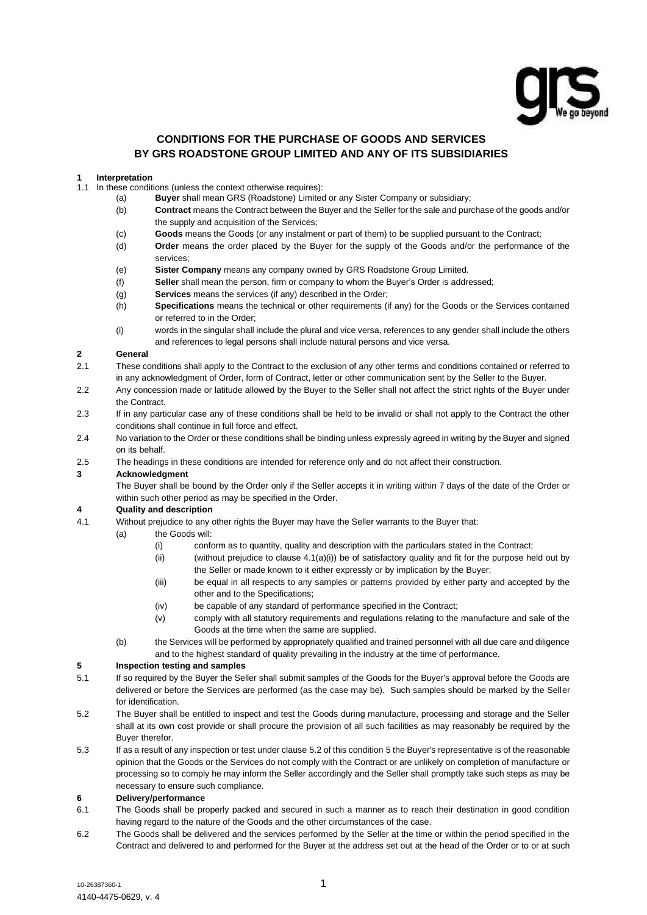

# **CONDITIONS FOR THE PURCHASE OF GOODS AND SERVICES BY GRS ROADSTONE GROUP LIMITED AND ANY OF ITS SUBSIDIARIES**

#### **1 Interpretation**

- 1.1 In these conditions (unless the context otherwise requires):
	- (a) **Buyer** shall mean GRS (Roadstone) Limited or any Sister Company or subsidiary;
		- (b) **Contract** means the Contract between the Buyer and the Seller for the sale and purchase of the goods and/or the supply and acquisition of the Services;
		- (c) **Goods** means the Goods (or any instalment or part of them) to be supplied pursuant to the Contract;
		- (d) **Order** means the order placed by the Buyer for the supply of the Goods and/or the performance of the services;
		- (e) **Sister Company** means any company owned by GRS Roadstone Group Limited.
		- (f) **Seller** shall mean the person, firm or company to whom the Buyer's Order is addressed;
		- (g) **Services** means the services (if any) described in the Order;
		- (h) **Specifications** means the technical or other requirements (if any) for the Goods or the Services contained or referred to in the Order;
		- (i) words in the singular shall include the plural and vice versa, references to any gender shall include the others and references to legal persons shall include natural persons and vice versa.

### **2 General**

- 2.1 These conditions shall apply to the Contract to the exclusion of any other terms and conditions contained or referred to in any acknowledgment of Order, form of Contract, letter or other communication sent by the Seller to the Buyer.
- 2.2 Any concession made or latitude allowed by the Buyer to the Seller shall not affect the strict rights of the Buyer under the Contract.
- 2.3 If in any particular case any of these conditions shall be held to be invalid or shall not apply to the Contract the other conditions shall continue in full force and effect.
- 2.4 No variation to the Order or these conditions shall be binding unless expressly agreed in writing by the Buyer and signed on its behalf.
- 2.5 The headings in these conditions are intended for reference only and do not affect their construction.

#### **3 Acknowledgment**

The Buyer shall be bound by the Order only if the Seller accepts it in writing within 7 days of the date of the Order or within such other period as may be specified in the Order.

### **4 Quality and description**

- <span id="page-0-0"></span>4.1 Without prejudice to any other rights the Buyer may have the Seller warrants to the Buyer that:
	- (a) the Goods will:
		- (i) conform as to quantity, quality and description with the particulars stated in the Contract;
		- (ii) (without prejudice to clause  $4.1(a)(i)$ ) be of satisfactory quality and fit for the purpose held out by the Seller or made known to it either expressly or by implication by the Buyer;
		- (iii) be equal in all respects to any samples or patterns provided by either party and accepted by the other and to the Specifications;
		- (iv) be capable of any standard of performance specified in the Contract;
		- (v) comply with all statutory requirements and regulations relating to the manufacture and sale of the Goods at the time when the same are supplied.
	- (b) the Services will be performed by appropriately qualified and trained personnel with all due care and diligence and to the highest standard of quality prevailing in the industry at the time of performance.

#### <span id="page-0-2"></span>**5 Inspection testing and samples**

- 5.1 If so required by the Buyer the Seller shall submit samples of the Goods for the Buyer's approval before the Goods are delivered or before the Services are performed (as the case may be). Such samples should be marked by the Seller for identification.
- <span id="page-0-1"></span>5.2 The Buyer shall be entitled to inspect and test the Goods during manufacture, processing and storage and the Seller shall at its own cost provide or shall procure the provision of all such facilities as may reasonably be required by the Buyer therefor.
- 5.3 If as a result of any inspection or test under clause [5.2](#page-0-1) of this condition [5](#page-0-2) the Buyer's representative is of the reasonable opinion that the Goods or the Services do not comply with the Contract or are unlikely on completion of manufacture or processing so to comply he may inform the Seller accordingly and the Seller shall promptly take such steps as may be necessary to ensure such compliance.

#### **6 Delivery/performance**

- 6.1 The Goods shall be properly packed and secured in such a manner as to reach their destination in good condition having regard to the nature of the Goods and the other circumstances of the case.
- 6.2 The Goods shall be delivered and the services performed by the Seller at the time or within the period specified in the Contract and delivered to and performed for the Buyer at the address set out at the head of the Order or to or at such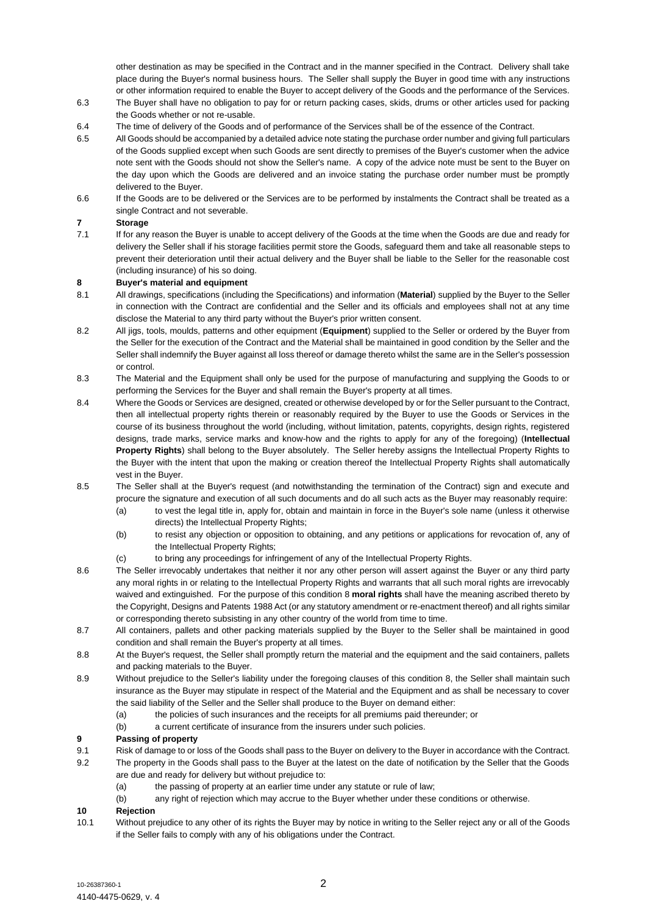other destination as may be specified in the Contract and in the manner specified in the Contract. Delivery shall take place during the Buyer's normal business hours. The Seller shall supply the Buyer in good time with any instructions or other information required to enable the Buyer to accept delivery of the Goods and the performance of the Services.

- 6.3 The Buyer shall have no obligation to pay for or return packing cases, skids, drums or other articles used for packing the Goods whether or not re-usable.
- 6.4 The time of delivery of the Goods and of performance of the Services shall be of the essence of the Contract.
- 6.5 All Goods should be accompanied by a detailed advice note stating the purchase order number and giving full particulars of the Goods supplied except when such Goods are sent directly to premises of the Buyer's customer when the advice note sent with the Goods should not show the Seller's name. A copy of the advice note must be sent to the Buyer on the day upon which the Goods are delivered and an invoice stating the purchase order number must be promptly delivered to the Buyer.
- 6.6 If the Goods are to be delivered or the Services are to be performed by instalments the Contract shall be treated as a single Contract and not severable.

# <span id="page-1-1"></span>**7 Storage**

7.1 If for any reason the Buyer is unable to accept delivery of the Goods at the time when the Goods are due and ready for delivery the Seller shall if his storage facilities permit store the Goods, safeguard them and take all reasonable steps to prevent their deterioration until their actual delivery and the Buyer shall be liable to the Seller for the reasonable cost (including insurance) of his so doing.

### <span id="page-1-0"></span>**8 Buyer's material and equipment**

- 8.1 All drawings, specifications (including the Specifications) and information (**Material**) supplied by the Buyer to the Seller in connection with the Contract are confidential and the Seller and its officials and employees shall not at any time disclose the Material to any third party without the Buyer's prior written consent.
- 8.2 All jigs, tools, moulds, patterns and other equipment (**Equipment**) supplied to the Seller or ordered by the Buyer from the Seller for the execution of the Contract and the Material shall be maintained in good condition by the Seller and the Seller shall indemnify the Buyer against all loss thereof or damage thereto whilst the same are in the Seller's possession or control.
- 8.3 The Material and the Equipment shall only be used for the purpose of manufacturing and supplying the Goods to or performing the Services for the Buyer and shall remain the Buyer's property at all times.
- 8.4 Where the Goods or Services are designed, created or otherwise developed by or for the Seller pursuant to the Contract, then all intellectual property rights therein or reasonably required by the Buyer to use the Goods or Services in the course of its business throughout the world (including, without limitation, patents, copyrights, design rights, registered designs, trade marks, service marks and know-how and the rights to apply for any of the foregoing) (**Intellectual Property Rights**) shall belong to the Buyer absolutely. The Seller hereby assigns the Intellectual Property Rights to the Buyer with the intent that upon the making or creation thereof the Intellectual Property Rights shall automatically vest in the Buyer.
- 8.5 The Seller shall at the Buyer's request (and notwithstanding the termination of the Contract) sign and execute and procure the signature and execution of all such documents and do all such acts as the Buyer may reasonably require:
	- (a) to vest the legal title in, apply for, obtain and maintain in force in the Buyer's sole name (unless it otherwise directs) the Intellectual Property Rights;
	- (b) to resist any objection or opposition to obtaining, and any petitions or applications for revocation of, any of the Intellectual Property Rights:
	- (c) to bring any proceedings for infringement of any of the Intellectual Property Rights.
- 8.6 The Seller irrevocably undertakes that neither it nor any other person will assert against the Buyer or any third party any moral rights in or relating to the Intellectual Property Rights and warrants that all such moral rights are irrevocably waived and extinguished. For the purpose of this condition [8](#page-1-0) **moral rights** shall have the meaning ascribed thereto by the Copyright, Designs and Patents 1988 Act (or any statutory amendment or re-enactment thereof) and all rights similar or corresponding thereto subsisting in any other country of the world from time to time.
- 8.7 All containers, pallets and other packing materials supplied by the Buyer to the Seller shall be maintained in good condition and shall remain the Buyer's property at all times.
- 8.8 At the Buyer's request, the Seller shall promptly return the material and the equipment and the said containers, pallets and packing materials to the Buyer.
- 8.9 Without prejudice to the Seller's liability under the foregoing clauses of this condition 8, the Seller shall maintain such insurance as the Buyer may stipulate in respect of the Material and the Equipment and as shall be necessary to cover the said liability of the Seller and the Seller shall produce to the Buyer on demand either:
	- (a) the policies of such insurances and the receipts for all premiums paid thereunder; or
	- (b) a current certificate of insurance from the insurers under such policies.

### **9 Passing of property**

- 9.1 Risk of damage to or loss of the Goods shall pass to the Buyer on delivery to the Buyer in accordance with the Contract.
- 9.2 The property in the Goods shall pass to the Buyer at the latest on the date of notification by the Seller that the Goods are due and ready for delivery but without prejudice to:
	- (a) the passing of property at an earlier time under any statute or rule of law;
	- (b) any right of rejection which may accrue to the Buyer whether under these conditions or otherwise.

# **10 Rejection**

10.1 Without prejudice to any other of its rights the Buyer may by notice in writing to the Seller reject any or all of the Goods if the Seller fails to comply with any of his obligations under the Contract.